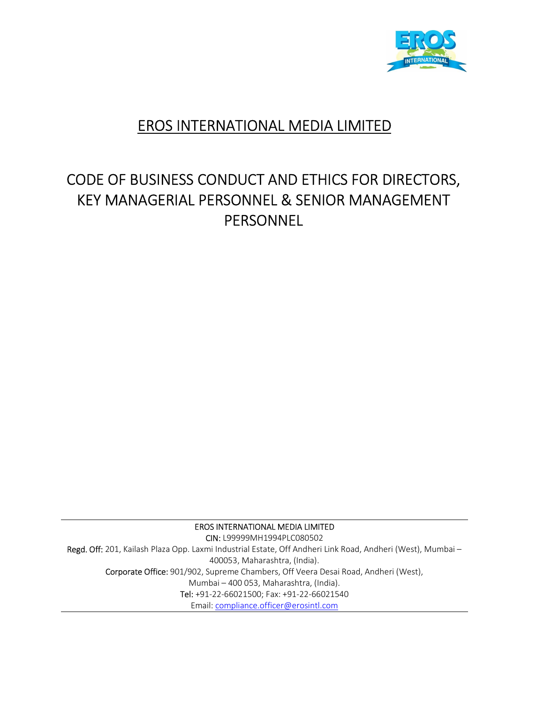

## EROS INTERNATIONAL MEDIA LIMITED

# CODE OF BUSINESS CONDUCT AND ETHICS FOR DIRECTORS, KEY MANAGERIAL PERSONNEL & SENIOR MANAGEMENT PERSONNEL

EROS INTERNATIONAL MEDIA LIMITED CIN: L99999MH1994PLC080502 Regd. Off: 201, Kailash Plaza Opp. Laxmi Industrial Estate, Off Andheri Link Road, Andheri (West), Mumbai – 400053, Maharashtra, (India). Corporate Office: 901/902, Supreme Chambers, Off Veera Desai Road, Andheri (West), Mumbai – 400 053, Maharashtra, (India). Tel: +91-22-66021500; Fax: +91-22-66021540 Email: compliance.officer@erosintl.com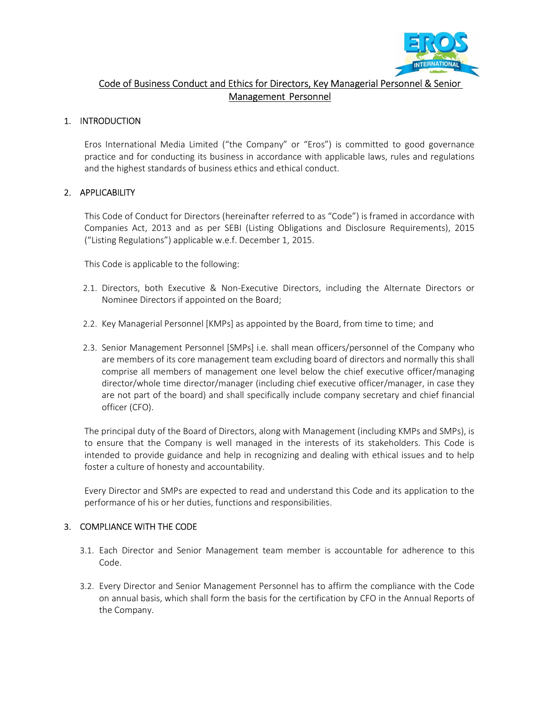

## Code of Business Conduct and Ethics for Directors, Key Managerial Personnel & Senior Management Personnel

## 1. INTRODUCTION

Eros International Media Limited ("the Company" or "Eros") is committed to good governance practice and for conducting its business in accordance with applicable laws, rules and regulations and the highest standards of business ethics and ethical conduct.

## 2. APPLICABILITY

This Code of Conduct for Directors (hereinafter referred to as "Code") is framed in accordance with Companies Act, 2013 and as per SEBI (Listing Obligations and Disclosure Requirements), 2015 ("Listing Regulations") applicable w.e.f. December 1, 2015.

This Code is applicable to the following:

- 2.1. Directors, both Executive & Non-Executive Directors, including the Alternate Directors or Nominee Directors if appointed on the Board;
- 2.2. Key Managerial Personnel [KMPs] as appointed by the Board, from time to time; and
- 2.3. Senior Management Personnel [SMPs] i.e. shall mean officers/personnel of the Company who are members of its core management team excluding board of directors and normally this shall comprise all members of management one level below the chief executive officer/managing director/whole time director/manager (including chief executive officer/manager, in case they are not part of the board) and shall specifically include company secretary and chief financial officer (CFO).

The principal duty of the Board of Directors, along with Management (including KMPs and SMPs), is to ensure that the Company is well managed in the interests of its stakeholders. This Code is intended to provide guidance and help in recognizing and dealing with ethical issues and to help foster a culture of honesty and accountability.

Every Director and SMPs are expected to read and understand this Code and its application to the performance of his or her duties, functions and responsibilities.

## 3. COMPLIANCE WITH THE CODE

- 3.1. Each Director and Senior Management team member is accountable for adherence to this Code.
- 3.2. Every Director and Senior Management Personnel has to affirm the compliance with the Code on annual basis, which shall form the basis for the certification by CFO in the Annual Reports of the Company.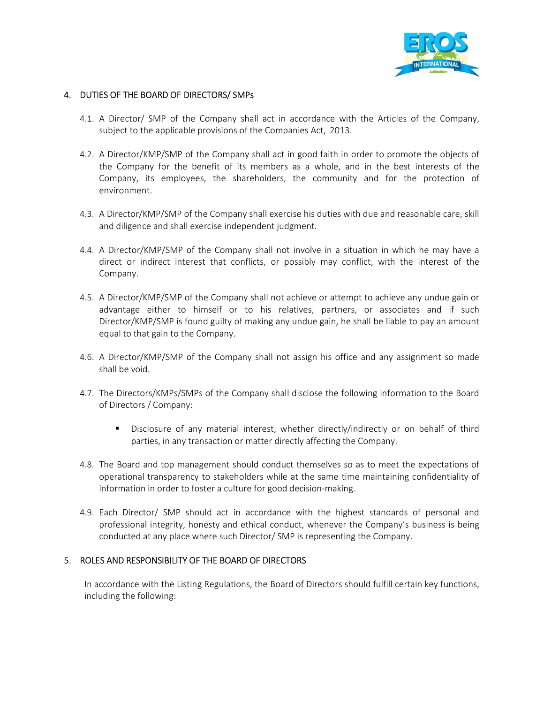

## 4. DUTIES OF THE BOARD OF DIRECTORS/ SMPs

- 4.1. A Director/ SMP of the Company shall act in accordance with the Articles of the Company, subject to the applicable provisions of the Companies Act, 2013.
- 4.2. A Director/KMP/SMP of the Company shall act in good faith in order to promote the objects of the Company for the benefit of its members as a whole, and in the best interests of the Company, its employees, the shareholders, the community and for the protection of environment.
- 4.3. A Director/KMP/SMP of the Company shall exercise his duties with due and reasonable care, skill and diligence and shall exercise independent judgment.
- 4.4. A Director/KMP/SMP of the Company shall not involve in a situation in which he may have a direct or indirect interest that conflicts, or possibly may conflict, with the interest of the Company.
- 4.5. A Director/KMP/SMP of the Company shall not achieve or attempt to achieve any undue gain or advantage either to himself or to his relatives, partners, or associates and if such Director/KMP/SMP is found guilty of making any undue gain, he shall be liable to pay an amount equal to that gain to the Company.
- 4.6. A Director/KMP/SMP of the Company shall not assign his office and any assignment so made shall be void.
- 4.7. The Directors/KMPs/SMPs of the Company shall disclose the following information to the Board of Directors / Company:
	- Disclosure of any material interest, whether directly/indirectly or on behalf of third parties, in any transaction or matter directly affecting the Company.
- 4.8. The Board and top management should conduct themselves so as to meet the expectations of operational transparency to stakeholders while at the same time maintaining confidentiality of information in order to foster a culture for good decision-making.
- 4.9. Each Director/ SMP should act in accordance with the highest standards of personal and professional integrity, honesty and ethical conduct, whenever the Company's business is being conducted at any place where such Director/ SMP is representing the Company.

## 5. ROLES AND RESPONSIBILITY OF THE BOARD OF DIRECTORS

In accordance with the Listing Regulations, the Board of Directors should fulfill certain key functions, including the following: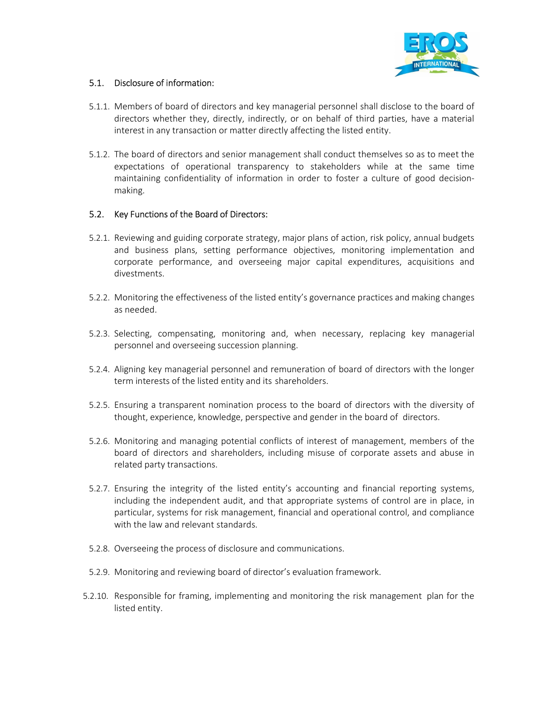

## 5.1. Disclosure of information:

- 5.1.1. Members of board of directors and key managerial personnel shall disclose to the board of directors whether they, directly, indirectly, or on behalf of third parties, have a material interest in any transaction or matter directly affecting the listed entity.
- 5.1.2. The board of directors and senior management shall conduct themselves so as to meet the expectations of operational transparency to stakeholders while at the same time maintaining confidentiality of information in order to foster a culture of good decisionmaking.

## 5.2. Key Functions of the Board of Directors:

- 5.2.1. Reviewing and guiding corporate strategy, major plans of action, risk policy, annual budgets and business plans, setting performance objectives, monitoring implementation and corporate performance, and overseeing major capital expenditures, acquisitions and divestments.
- 5.2.2. Monitoring the effectiveness of the listed entity's governance practices and making changes as needed.
- 5.2.3. Selecting, compensating, monitoring and, when necessary, replacing key managerial personnel and overseeing succession planning.
- 5.2.4. Aligning key managerial personnel and remuneration of board of directors with the longer term interests of the listed entity and its shareholders.
- 5.2.5. Ensuring a transparent nomination process to the board of directors with the diversity of thought, experience, knowledge, perspective and gender in the board of directors.
- 5.2.6. Monitoring and managing potential conflicts of interest of management, members of the board of directors and shareholders, including misuse of corporate assets and abuse in related party transactions.
- 5.2.7. Ensuring the integrity of the listed entity's accounting and financial reporting systems, including the independent audit, and that appropriate systems of control are in place, in particular, systems for risk management, financial and operational control, and compliance with the law and relevant standards.
- 5.2.8. Overseeing the process of disclosure and communications.
- 5.2.9. Monitoring and reviewing board of director's evaluation framework.
- 5.2.10. Responsible for framing, implementing and monitoring the risk management plan for the listed entity.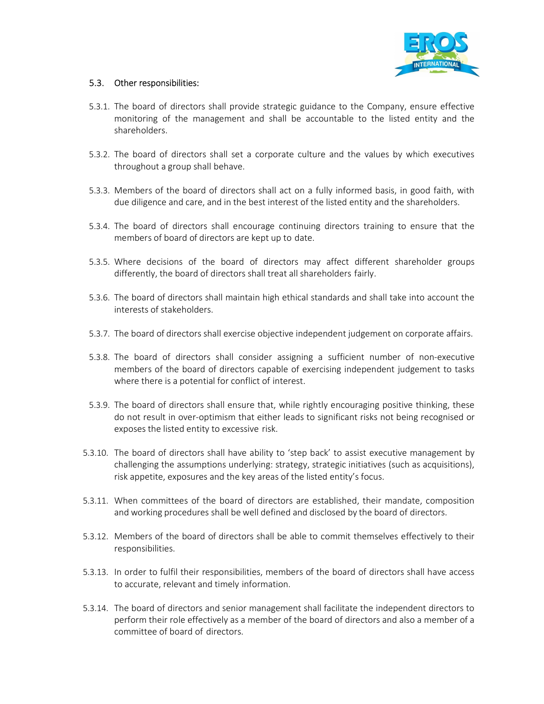

## 5.3. Other responsibilities:

- 5.3.1. The board of directors shall provide strategic guidance to the Company, ensure effective monitoring of the management and shall be accountable to the listed entity and the shareholders.
- 5.3.2. The board of directors shall set a corporate culture and the values by which executives throughout a group shall behave.
- 5.3.3. Members of the board of directors shall act on a fully informed basis, in good faith, with due diligence and care, and in the best interest of the listed entity and the shareholders.
- 5.3.4. The board of directors shall encourage continuing directors training to ensure that the members of board of directors are kept up to date.
- 5.3.5. Where decisions of the board of directors may affect different shareholder groups differently, the board of directors shall treat all shareholders fairly.
- 5.3.6. The board of directors shall maintain high ethical standards and shall take into account the interests of stakeholders.
- 5.3.7. The board of directors shall exercise objective independent judgement on corporate affairs.
- 5.3.8. The board of directors shall consider assigning a sufficient number of non-executive members of the board of directors capable of exercising independent judgement to tasks where there is a potential for conflict of interest.
- 5.3.9. The board of directors shall ensure that, while rightly encouraging positive thinking, these do not result in over-optimism that either leads to significant risks not being recognised or exposes the listed entity to excessive risk.
- 5.3.10. The board of directors shall have ability to 'step back' to assist executive management by challenging the assumptions underlying: strategy, strategic initiatives (such as acquisitions), risk appetite, exposures and the key areas of the listed entity's focus.
- 5.3.11. When committees of the board of directors are established, their mandate, composition and working procedures shall be well defined and disclosed by the board of directors.
- 5.3.12. Members of the board of directors shall be able to commit themselves effectively to their responsibilities.
- 5.3.13. In order to fulfil their responsibilities, members of the board of directors shall have access to accurate, relevant and timely information.
- 5.3.14. The board of directors and senior management shall facilitate the independent directors to perform their role effectively as a member of the board of directors and also a member of a committee of board of directors.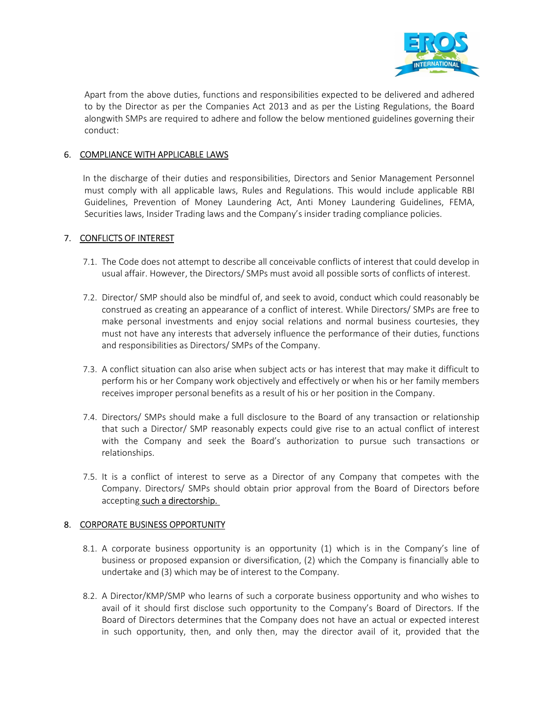

Apart from the above duties, functions and responsibilities expected to be delivered and adhered to by the Director as per the Companies Act 2013 and as per the Listing Regulations, the Board alongwith SMPs are required to adhere and follow the below mentioned guidelines governing their conduct:

## 6. COMPLIANCE WITH APPLICABLE LAWS

In the discharge of their duties and responsibilities, Directors and Senior Management Personnel must comply with all applicable laws, Rules and Regulations. This would include applicable RBI Guidelines, Prevention of Money Laundering Act, Anti Money Laundering Guidelines, FEMA, Securities laws, Insider Trading laws and the Company's insider trading compliance policies.

## 7. CONFLICTS OF INTEREST

- 7.1. The Code does not attempt to describe all conceivable conflicts of interest that could develop in usual affair. However, the Directors/ SMPs must avoid all possible sorts of conflicts of interest.
- 7.2. Director/ SMP should also be mindful of, and seek to avoid, conduct which could reasonably be construed as creating an appearance of a conflict of interest. While Directors/ SMPs are free to make personal investments and enjoy social relations and normal business courtesies, they must not have any interests that adversely influence the performance of their duties, functions and responsibilities as Directors/ SMPs of the Company.
- 7.3. A conflict situation can also arise when subject acts or has interest that may make it difficult to perform his or her Company work objectively and effectively or when his or her family members receives improper personal benefits as a result of his or her position in the Company.
- 7.4. Directors/ SMPs should make a full disclosure to the Board of any transaction or relationship that such a Director/ SMP reasonably expects could give rise to an actual conflict of interest with the Company and seek the Board's authorization to pursue such transactions or relationships.
- 7.5. It is a conflict of interest to serve as a Director of any Company that competes with the Company. Directors/ SMPs should obtain prior approval from the Board of Directors before accepting such a directorship.

## 8. CORPORATE BUSINESS OPPORTUNITY

- 8.1. A corporate business opportunity is an opportunity (1) which is in the Company's line of business or proposed expansion or diversification, (2) which the Company is financially able to undertake and (3) which may be of interest to the Company.
- 8.2. A Director/KMP/SMP who learns of such a corporate business opportunity and who wishes to avail of it should first disclose such opportunity to the Company's Board of Directors. If the Board of Directors determines that the Company does not have an actual or expected interest in such opportunity, then, and only then, may the director avail of it, provided that the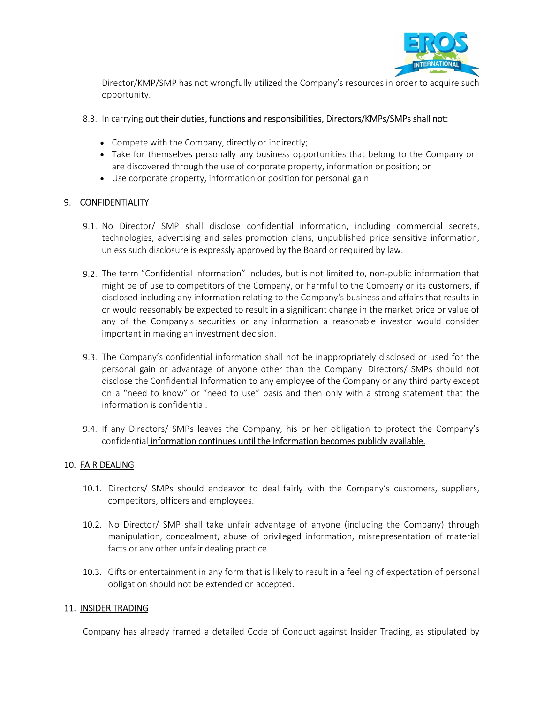

Director/KMP/SMP has not wrongfully utilized the Company's resources in order to acquire such opportunity.

## 8.3. In carrying out their duties, functions and responsibilities, Directors/KMPs/SMPs shall not:

- Compete with the Company, directly or indirectly;
- Take for themselves personally any business opportunities that belong to the Company or are discovered through the use of corporate property, information or position; or
- Use corporate property, information or position for personal gain

## 9. CONFIDENTIALITY

- 9.1. No Director/ SMP shall disclose confidential information, including commercial secrets, technologies, advertising and sales promotion plans, unpublished price sensitive information, unless such disclosure is expressly approved by the Board or required by law.
- 9.2. The term "Confidential information" includes, but is not limited to, non-public information that might be of use to competitors of the Company, or harmful to the Company or its customers, if disclosed including any information relating to the Company's business and affairs that results in or would reasonably be expected to result in a significant change in the market price or value of any of the Company's securities or any information a reasonable investor would consider important in making an investment decision.
- 9.3. The Company's confidential information shall not be inappropriately disclosed or used for the personal gain or advantage of anyone other than the Company. Directors/ SMPs should not disclose the Confidential Information to any employee of the Company or any third party except on a "need to know" or "need to use" basis and then only with a strong statement that the information is confidential.
- 9.4. If any Directors/ SMPs leaves the Company, his or her obligation to protect the Company's confidential information continues until the information becomes publicly available.

## 10. FAIR DEALING

- 10.1. Directors/ SMPs should endeavor to deal fairly with the Company's customers, suppliers, competitors, officers and employees.
- 10.2. No Director/ SMP shall take unfair advantage of anyone (including the Company) through manipulation, concealment, abuse of privileged information, misrepresentation of material facts or any other unfair dealing practice.
- 10.3. Gifts or entertainment in any form that is likely to result in a feeling of expectation of personal obligation should not be extended or accepted.

## 11. INSIDER TRADING

Company has already framed a detailed Code of Conduct against Insider Trading, as stipulated by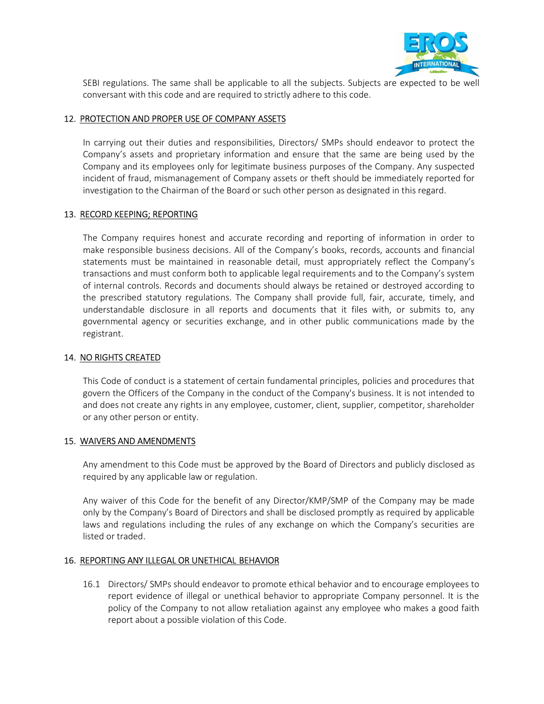

SEBI regulations. The same shall be applicable to all the subjects. Subjects are expected to be well conversant with this code and are required to strictly adhere to this code.

## 12. PROTECTION AND PROPER USE OF COMPANY ASSETS

In carrying out their duties and responsibilities, Directors/ SMPs should endeavor to protect the Company's assets and proprietary information and ensure that the same are being used by the Company and its employees only for legitimate business purposes of the Company. Any suspected incident of fraud, mismanagement of Company assets or theft should be immediately reported for investigation to the Chairman of the Board or such other person as designated in this regard.

## 13. RECORD KEEPING; REPORTING

The Company requires honest and accurate recording and reporting of information in order to make responsible business decisions. All of the Company's books, records, accounts and financial statements must be maintained in reasonable detail, must appropriately reflect the Company's transactions and must conform both to applicable legal requirements and to the Company's system of internal controls. Records and documents should always be retained or destroyed according to the prescribed statutory regulations. The Company shall provide full, fair, accurate, timely, and understandable disclosure in all reports and documents that it files with, or submits to, any governmental agency or securities exchange, and in other public communications made by the registrant.

## 14. NO RIGHTS CREATED

This Code of conduct is a statement of certain fundamental principles, policies and procedures that govern the Officers of the Company in the conduct of the Company's business. It is not intended to and does not create any rights in any employee, customer, client, supplier, competitor, shareholder or any other person or entity.

## 15. WAIVERS AND AMENDMENTS

Any amendment to this Code must be approved by the Board of Directors and publicly disclosed as required by any applicable law or regulation.

Any waiver of this Code for the benefit of any Director/KMP/SMP of the Company may be made only by the Company's Board of Directors and shall be disclosed promptly as required by applicable laws and regulations including the rules of any exchange on which the Company's securities are listed or traded.

## 16. REPORTING ANY ILLEGAL OR UNETHICAL BEHAVIOR

16.1 Directors/ SMPs should endeavor to promote ethical behavior and to encourage employees to report evidence of illegal or unethical behavior to appropriate Company personnel. It is the policy of the Company to not allow retaliation against any employee who makes a good faith report about a possible violation of this Code.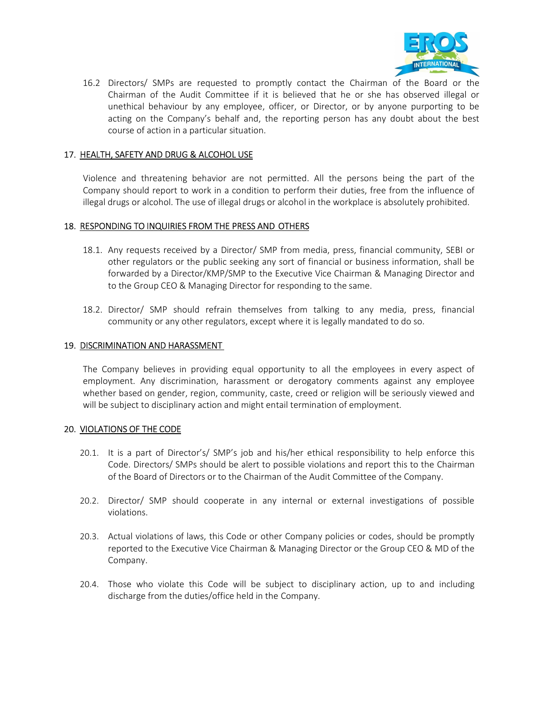

16.2 Directors/ SMPs are requested to promptly contact the Chairman of the Board or the Chairman of the Audit Committee if it is believed that he or she has observed illegal or unethical behaviour by any employee, officer, or Director, or by anyone purporting to be acting on the Company's behalf and, the reporting person has any doubt about the best course of action in a particular situation.

## 17. HEALTH, SAFETY AND DRUG & ALCOHOL USE

Violence and threatening behavior are not permitted. All the persons being the part of the Company should report to work in a condition to perform their duties, free from the influence of illegal drugs or alcohol. The use of illegal drugs or alcohol in the workplace is absolutely prohibited.

#### 18. RESPONDING TO INQUIRIES FROM THE PRESS AND OTHERS

- 18.1. Any requests received by a Director/ SMP from media, press, financial community, SEBI or other regulators or the public seeking any sort of financial or business information, shall be forwarded by a Director/KMP/SMP to the Executive Vice Chairman & Managing Director and to the Group CEO & Managing Director for responding to the same.
- 18.2. Director/ SMP should refrain themselves from talking to any media, press, financial community or any other regulators, except where it is legally mandated to do so.

#### 19. DISCRIMINATION AND HARASSMENT

The Company believes in providing equal opportunity to all the employees in every aspect of employment. Any discrimination, harassment or derogatory comments against any employee whether based on gender, region, community, caste, creed or religion will be seriously viewed and will be subject to disciplinary action and might entail termination of employment.

## 20. VIOLATIONS OF THE CODE

- 20.1. It is a part of Director's/ SMP's job and his/her ethical responsibility to help enforce this Code. Directors/ SMPs should be alert to possible violations and report this to the Chairman of the Board of Directors or to the Chairman of the Audit Committee of the Company.
- 20.2. Director/ SMP should cooperate in any internal or external investigations of possible violations.
- 20.3. Actual violations of laws, this Code or other Company policies or codes, should be promptly reported to the Executive Vice Chairman & Managing Director or the Group CEO & MD of the Company.
- 20.4. Those who violate this Code will be subject to disciplinary action, up to and including discharge from the duties/office held in the Company.